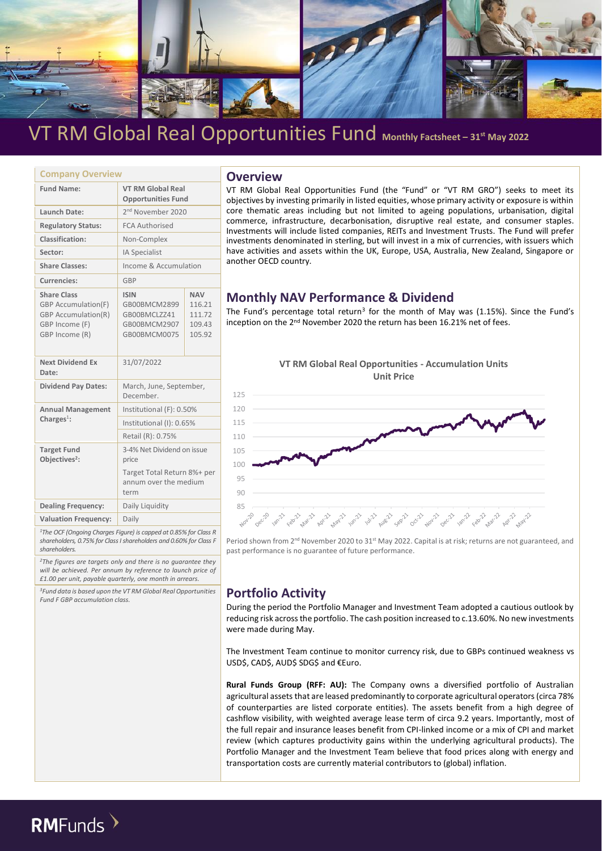

| <b>Company Overview</b>                                                                                            |                                                                             |                                                    |  |  |  |
|--------------------------------------------------------------------------------------------------------------------|-----------------------------------------------------------------------------|----------------------------------------------------|--|--|--|
| <b>Fund Name:</b>                                                                                                  | <b>VT RM Global Real</b><br><b>Opportunities Fund</b>                       |                                                    |  |  |  |
| Launch Date:                                                                                                       | 2 <sup>nd</sup> November 2020                                               |                                                    |  |  |  |
| <b>Regulatory Status:</b>                                                                                          | <b>FCA Authorised</b>                                                       |                                                    |  |  |  |
| Classification:                                                                                                    | Non-Complex                                                                 |                                                    |  |  |  |
| Sector:                                                                                                            | <b>IA Specialist</b>                                                        |                                                    |  |  |  |
| <b>Share Classes:</b>                                                                                              | Income & Accumulation                                                       |                                                    |  |  |  |
| Currencies:                                                                                                        | GBP                                                                         |                                                    |  |  |  |
| <b>Share Class</b><br><b>GBP</b> Accumulation(F)<br><b>GBP Accumulation(R)</b><br>GBP Income (F)<br>GBP Income (R) | <b>ISIN</b><br>GB00BMCM2899<br>GB00BMCLZZ41<br>GB00BMCM2907<br>GB00BMCM0075 | <b>NAV</b><br>116.21<br>111.72<br>109.43<br>105.92 |  |  |  |
| <b>Next Dividend Ex</b><br>Date:                                                                                   | 31/07/2022                                                                  |                                                    |  |  |  |
| <b>Dividend Pay Dates:</b>                                                                                         | March, June, September,<br>December.                                        |                                                    |  |  |  |
| <b>Annual Management</b>                                                                                           | Institutional (F): 0.50%                                                    |                                                    |  |  |  |
| Charges $1$ :                                                                                                      | Institutional (I): 0.65%                                                    |                                                    |  |  |  |
|                                                                                                                    | Retail (R): 0.75%                                                           |                                                    |  |  |  |
| <b>Target Fund</b><br>Objectives <sup>2</sup> :                                                                    | 3-4% Net Dividend on issue<br>price                                         |                                                    |  |  |  |
|                                                                                                                    | Target Total Return 8%+ per<br>annum over the medium<br>term                |                                                    |  |  |  |
| <b>Dealing Frequency:</b>                                                                                          | Daily Liquidity                                                             |                                                    |  |  |  |
| <b>Valuation Frequency:</b>                                                                                        | Daily                                                                       |                                                    |  |  |  |

*<sup>1</sup>The OCF (Ongoing Charges Figure) is capped at 0.85% for Class R shareholders, 0.75% for Class I shareholders and 0.60% for Class F shareholders.*

*<sup>2</sup>The figures are targets only and there is no guarantee they will be achieved. Per annum by reference to launch price of £1.00 per unit, payable quarterly, one month in arrears.*

*<sup>3</sup>Fund data is based upon the VT RM Global Real Opportunities Fund F GBP accumulation class.*

### **Company Overview Overview**

VT RM Global Real Opportunities Fund (the "Fund" or "VT RM GRO") seeks to meet its objectives by investing primarily in listed equities, whose primary activity or exposure is within core thematic areas including but not limited to ageing populations, urbanisation, digital commerce, infrastructure, decarbonisation, disruptive real estate, and consumer staples. Investments will include listed companies, REITs and Investment Trusts. The Fund will prefer investments denominated in sterling, but will invest in a mix of currencies, with issuers which have activities and assets within the UK, Europe, USA, Australia, New Zealand, Singapore or another OECD country.

## **Monthly NAV Performance & Dividend**

The Fund's percentage total return<sup>3</sup> for the month of May was (1.15%). Since the Fund's inception on the 2<sup>nd</sup> November 2020 the return has been 16.21% net of fees.



Period shown from 2<sup>nd</sup> November 2020 to 31<sup>st</sup> May 2022. Capital is at risk; returns are not guaranteed, and past performance is no guarantee of future performance.

## **Portfolio Activity**

During the period the Portfolio Manager and Investment Team adopted a cautious outlook by reducing risk across the portfolio. The cash position increased to c.13.60%. No new investments were made during May.

The Investment Team continue to monitor currency risk, due to GBPs continued weakness vs USD\$, CAD\$, AUD\$ SDG\$ and €Euro.

**Rural Funds Group (RFF: AU):** The Company owns a diversified portfolio of Australian agricultural assets that are leased predominantly to corporate agricultural operators (circa 78% of counterparties are listed corporate entities). The assets benefit from a high degree of cashflow visibility, with weighted average lease term of circa 9.2 years. Importantly, most of the full repair and insurance leases benefit from CPI-linked income or a mix of CPI and market review (which captures productivity gains within the underlying agricultural products). The Portfolio Manager and the Investment Team believe that food prices along with energy and transportation costs are currently material contributors to (global) inflation.

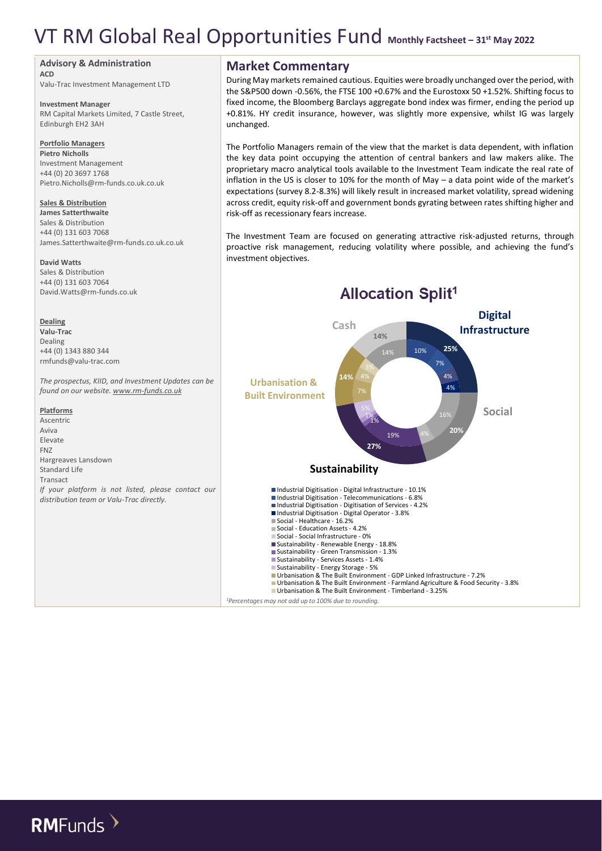#### **Advisory & Administration**

**ACD** Valu-Trac Investment Management LTD

**Investment Manager**

RM Capital Markets Limited, 7 Castle Street, Edinburgh EH2 3AH

#### **Portfolio Managers**

**Pietro Nicholls** Investment Management +44 (0) 20 3697 1768 Pietro.Nicholls@rm-funds.co.uk.co.uk

#### **Sales & Distribution**

**James Satterthwaite** Sales & Distribution +44 (0) 131 603 7068 James.Satterthwaite@rm-funds.co.uk.co.uk

#### **David Watts**

Sales & Distribution +44 (0) 131 603 7064 David.Watts@rm-funds.co.uk

#### **Dealing**

**Valu-Trac** Dealing +44 (0) 1343 880 344 rmfunds@valu-trac.com

*The prospectus, KIID, and Investment Updates can be found on our website[. www.rm-funds.co.uk](http://www.rm-funds.co.uk/)*

**Platforms** Ascentric Aviva Elevate FNZ Hargreaves Lansdown Standard Life Transact *If your platform is not listed, please contact our distribution team or Valu-Trac directly.*

### **Market Commentary**

During May markets remained cautious. Equities were broadly unchanged over the period, with the S&P500 down -0.56%, the FTSE 100 +0.67% and the Eurostoxx 50 +1.52%. Shifting focus to fixed income, the Bloomberg Barclays aggregate bond index was firmer, ending the period up +0.81%. HY credit insurance, however, was slightly more expensive, whilst IG was largely unchanged.

The Portfolio Managers remain of the view that the market is data dependent, with inflation the key data point occupying the attention of central bankers and law makers alike. The proprietary macro analytical tools available to the Investment Team indicate the real rate of inflation in the US is closer to 10% for the month of May – a data point wide of the market's expectations (survey 8.2-8.3%) will likely result in increased market volatility, spread widening across credit, equity risk-off and government bonds gyrating between rates shifting higher and risk-off as recessionary fears increase.

The Investment Team are focused on generating attractive risk-adjusted returns, through proactive risk management, reducing volatility where possible, and achieving the fund's investment objectives.



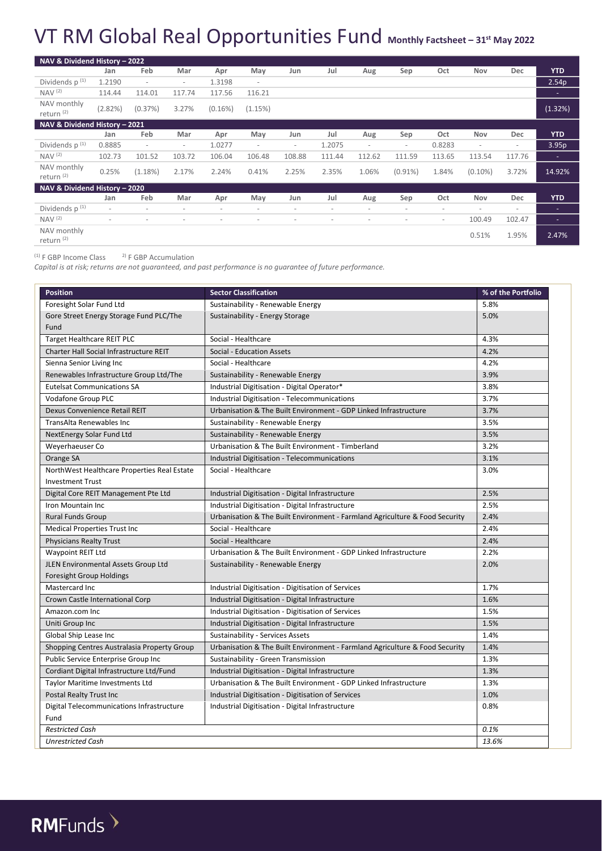| NAV & Dividend History - 2022        |                          |                          |                          |                          |                          |                          |                          |                          |                          |                          |                          |                          |                          |
|--------------------------------------|--------------------------|--------------------------|--------------------------|--------------------------|--------------------------|--------------------------|--------------------------|--------------------------|--------------------------|--------------------------|--------------------------|--------------------------|--------------------------|
|                                      | Jan                      | Feb                      | Mar                      | Apr                      | May                      | Jun                      | Jul                      | Aug                      | Sep                      | Oct                      | Nov                      | Dec                      | <b>YTD</b>               |
| Dividends $p^{(1)}$                  | 1.2190                   | $\overline{\phantom{a}}$ | $\overline{\phantom{a}}$ | 1.3198                   | $\sim$                   |                          |                          |                          |                          |                          |                          |                          | 2.54 <sub>p</sub>        |
| NAV <sup>(2)</sup>                   | 114.44                   | 114.01                   | 117.74                   | 117.56                   | 116.21                   |                          |                          |                          |                          |                          |                          |                          | ۰.                       |
| NAV monthly<br>return <sup>(2)</sup> | (2.82%)                  | (0.37%)                  | 3.27%                    | $(0.16\%)$               | (1.15%)                  |                          |                          |                          |                          |                          |                          |                          | (1.32%)                  |
| NAV & Dividend History - 2021        |                          |                          |                          |                          |                          |                          |                          |                          |                          |                          |                          |                          |                          |
|                                      | Jan                      | Feb                      | Mar                      | Apr                      | May                      | Jun                      | Jul                      | Aug                      | Sep                      | Oct                      | Nov                      | Dec                      | <b>YTD</b>               |
| Dividends $p^{(1)}$                  | 0.8885                   | $\overline{\phantom{a}}$ | $\overline{\phantom{a}}$ | 1.0277                   | $\overline{\phantom{a}}$ | $\overline{\phantom{a}}$ | 1.2075                   | $\overline{\phantom{a}}$ | $\overline{\phantom{a}}$ | 0.8283                   | $\overline{\phantom{a}}$ | $\overline{\phantom{a}}$ | 3.95 <sub>p</sub>        |
| NAV <sup>(2)</sup>                   | 102.73                   | 101.52                   | 103.72                   | 106.04                   | 106.48                   | 108.88                   | 111.44                   | 112.62                   | 111.59                   | 113.65                   | 113.54                   | 117.76                   | ٠                        |
| NAV monthly<br>return <sup>(2)</sup> | 0.25%                    | (1.18%)                  | 2.17%                    | 2.24%                    | 0.41%                    | 2.25%                    | 2.35%                    | 1.06%                    | $(0.91\%)$               | 1.84%                    | $(0.10\%)$               | 3.72%                    | 14.92%                   |
| NAV & Dividend History - 2020        |                          |                          |                          |                          |                          |                          |                          |                          |                          |                          |                          |                          |                          |
|                                      | Jan                      | Feb                      | Mar                      | Apr                      | May                      | Jun                      | Jul                      | Aug                      | Sep                      | Oct                      | Nov                      | Dec                      | <b>YTD</b>               |
| Dividends $p^{(1)}$                  | $\overline{\phantom{a}}$ | $\overline{\phantom{a}}$ | $\overline{\phantom{a}}$ | $\overline{\phantom{a}}$ | $\overline{\phantom{a}}$ | $\overline{\phantom{a}}$ | $\overline{\phantom{a}}$ | $\overline{\phantom{a}}$ | $\overline{\phantom{a}}$ | $\overline{\phantom{a}}$ | ٠                        | $\overline{\phantom{a}}$ | ٠                        |
| NAV <sup>(2)</sup>                   | $\overline{\phantom{a}}$ | $\overline{\phantom{a}}$ | $\overline{\phantom{a}}$ | $\overline{\phantom{a}}$ | $\overline{\phantom{a}}$ | ٠                        | $\overline{\phantom{a}}$ | $\overline{\phantom{a}}$ | $\overline{\phantom{a}}$ | $\overline{\phantom{a}}$ | 100.49                   | 102.47                   | $\overline{\phantom{a}}$ |
| NAV monthly<br>return <sup>(2)</sup> |                          |                          |                          |                          |                          |                          |                          |                          |                          |                          | 0.51%                    | 1.95%                    | 2.47%                    |

(1) F GBP Income Class 2) F GBP Accumulation

*Capital is at risk; returns are not guaranteed, and past performance is no guarantee of future performance.*

| <b>Position</b>                             | <b>Sector Classification</b>                                                | % of the Portfolio |
|---------------------------------------------|-----------------------------------------------------------------------------|--------------------|
| Foresight Solar Fund Ltd                    | Sustainability - Renewable Energy                                           | 5.8%               |
| Gore Street Energy Storage Fund PLC/The     | Sustainability - Energy Storage                                             | 5.0%               |
| Fund                                        |                                                                             |                    |
| Target Healthcare REIT PLC                  | Social - Healthcare                                                         | 4.3%               |
| Charter Hall Social Infrastructure REIT     | Social - Education Assets                                                   | 4.2%               |
| Sienna Senior Living Inc                    | Social - Healthcare                                                         | 4.2%               |
| Renewables Infrastructure Group Ltd/The     | Sustainability - Renewable Energy                                           | 3.9%               |
| <b>Eutelsat Communications SA</b>           | Industrial Digitisation - Digital Operator*                                 | 3.8%               |
| Vodafone Group PLC                          | Industrial Digitisation - Telecommunications                                | 3.7%               |
| Dexus Convenience Retail REIT               | Urbanisation & The Built Environment - GDP Linked Infrastructure            | 3.7%               |
| TransAlta Renewables Inc                    | Sustainability - Renewable Energy                                           | 3.5%               |
| NextEnergy Solar Fund Ltd                   | Sustainability - Renewable Energy                                           | 3.5%               |
| Weyerhaeuser Co                             | Urbanisation & The Built Environment - Timberland                           | 3.2%               |
| Orange SA                                   | Industrial Digitisation - Telecommunications                                | 3.1%               |
| NorthWest Healthcare Properties Real Estate | Social - Healthcare                                                         | 3.0%               |
| <b>Investment Trust</b>                     |                                                                             |                    |
| Digital Core REIT Management Pte Ltd        | Industrial Digitisation - Digital Infrastructure                            | 2.5%               |
| Iron Mountain Inc                           | Industrial Digitisation - Digital Infrastructure                            | 2.5%               |
| <b>Rural Funds Group</b>                    | Urbanisation & The Built Environment - Farmland Agriculture & Food Security | 2.4%               |
| <b>Medical Properties Trust Inc</b>         | Social - Healthcare                                                         | 2.4%               |
| <b>Physicians Realty Trust</b>              | Social - Healthcare                                                         | 2.4%               |
| Waypoint REIT Ltd                           | Urbanisation & The Built Environment - GDP Linked Infrastructure            | 2.2%               |
| JLEN Environmental Assets Group Ltd         | Sustainability - Renewable Energy                                           | 2.0%               |
| <b>Foresight Group Holdings</b>             |                                                                             |                    |
| Mastercard Inc                              | Industrial Digitisation - Digitisation of Services                          | 1.7%               |
| Crown Castle International Corp             | Industrial Digitisation - Digital Infrastructure                            | 1.6%               |
| Amazon.com Inc                              | Industrial Digitisation - Digitisation of Services                          | 1.5%               |
| Uniti Group Inc                             | Industrial Digitisation - Digital Infrastructure                            | 1.5%               |
| Global Ship Lease Inc                       | <b>Sustainability - Services Assets</b>                                     | 1.4%               |
| Shopping Centres Australasia Property Group | Urbanisation & The Built Environment - Farmland Agriculture & Food Security | 1.4%               |
| Public Service Enterprise Group Inc         | Sustainability - Green Transmission                                         | 1.3%               |
| Cordiant Digital Infrastructure Ltd/Fund    | Industrial Digitisation - Digital Infrastructure                            | 1.3%               |
| <b>Taylor Maritime Investments Ltd</b>      | Urbanisation & The Built Environment - GDP Linked Infrastructure            | 1.3%               |
| Postal Realty Trust Inc                     | Industrial Digitisation - Digitisation of Services                          | 1.0%               |
| Digital Telecommunications Infrastructure   | Industrial Digitisation - Digital Infrastructure                            | 0.8%               |
| Fund                                        |                                                                             |                    |
| <b>Restricted Cash</b>                      |                                                                             | 0.1%               |
| <b>Unrestricted Cash</b>                    |                                                                             | 13.6%              |